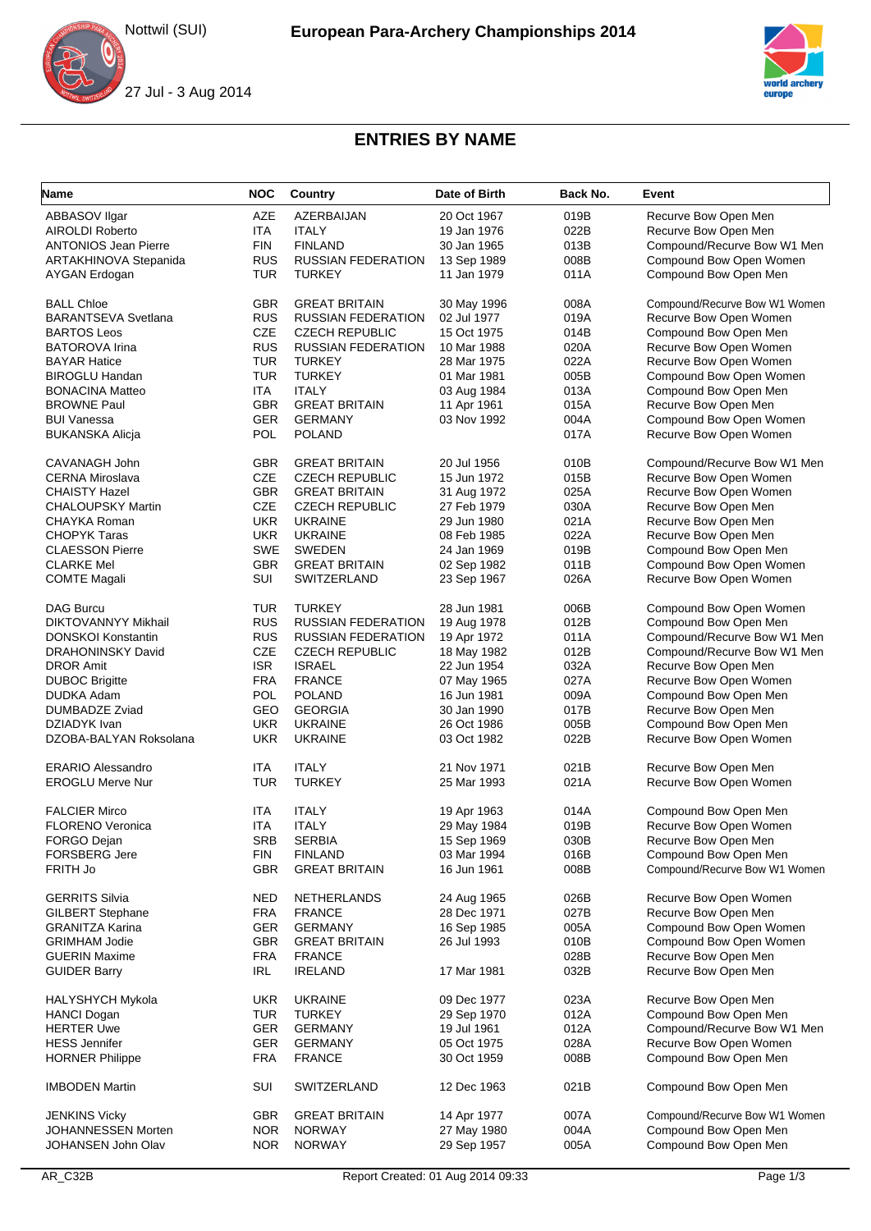Nottwil (SUI)





## **ENTRIES BY NAME**

| <b>Name</b>                  | <b>NOC</b> | Country                   | Date of Birth | Back No. | Event                         |
|------------------------------|------------|---------------------------|---------------|----------|-------------------------------|
| ABBASOV Ilgar                | <b>AZE</b> | AZERBAIJAN                | 20 Oct 1967   | 019B     | Recurve Bow Open Men          |
| <b>AIROLDI Roberto</b>       | <b>ITA</b> | <b>ITALY</b>              | 19 Jan 1976   | 022B     | Recurve Bow Open Men          |
| <b>ANTONIOS Jean Pierre</b>  | <b>FIN</b> | <b>FINLAND</b>            | 30 Jan 1965   | 013B     | Compound/Recurve Bow W1 Men   |
| <b>ARTAKHINOVA Stepanida</b> | <b>RUS</b> | <b>RUSSIAN FEDERATION</b> | 13 Sep 1989   | 008B     | Compound Bow Open Women       |
| AYGAN Erdogan                | <b>TUR</b> | <b>TURKEY</b>             | 11 Jan 1979   | 011A     | Compound Bow Open Men         |
| <b>BALL Chloe</b>            | <b>GBR</b> | <b>GREAT BRITAIN</b>      | 30 May 1996   | 008A     | Compound/Recurve Bow W1 Women |
| <b>BARANTSEVA Svetlana</b>   | <b>RUS</b> | <b>RUSSIAN FEDERATION</b> | 02 Jul 1977   | 019A     | Recurve Bow Open Women        |
| <b>BARTOS Leos</b>           | <b>CZE</b> | <b>CZECH REPUBLIC</b>     | 15 Oct 1975   | 014B     | Compound Bow Open Men         |
| <b>BATOROVA Irina</b>        | <b>RUS</b> | <b>RUSSIAN FEDERATION</b> | 10 Mar 1988   | 020A     | Recurve Bow Open Women        |
| <b>BAYAR Hatice</b>          | <b>TUR</b> | <b>TURKEY</b>             | 28 Mar 1975   | 022A     | Recurve Bow Open Women        |
| <b>BIROGLU Handan</b>        | <b>TUR</b> | <b>TURKEY</b>             | 01 Mar 1981   | 005B     | Compound Bow Open Women       |
| <b>BONACINA Matteo</b>       | <b>ITA</b> | <b>ITALY</b>              | 03 Aug 1984   | 013A     | Compound Bow Open Men         |
| <b>BROWNE Paul</b>           | <b>GBR</b> | <b>GREAT BRITAIN</b>      | 11 Apr 1961   | 015A     | Recurve Bow Open Men          |
| <b>BUI Vanessa</b>           | <b>GER</b> | <b>GERMANY</b>            | 03 Nov 1992   | 004A     | Compound Bow Open Women       |
| <b>BUKANSKA Alicja</b>       | POL        | <b>POLAND</b>             |               | 017A     | Recurve Bow Open Women        |
| CAVANAGH John                | <b>GBR</b> | <b>GREAT BRITAIN</b>      | 20 Jul 1956   | 010B     | Compound/Recurve Bow W1 Men   |
| <b>CERNA Miroslava</b>       | <b>CZE</b> | <b>CZECH REPUBLIC</b>     | 15 Jun 1972   | 015B     | Recurve Bow Open Women        |
| <b>CHAISTY Hazel</b>         | <b>GBR</b> | <b>GREAT BRITAIN</b>      | 31 Aug 1972   | 025A     | Recurve Bow Open Women        |
| <b>CHALOUPSKY Martin</b>     | <b>CZE</b> | <b>CZECH REPUBLIC</b>     | 27 Feb 1979   | 030A     | Recurve Bow Open Men          |
| CHAYKA Roman                 | <b>UKR</b> | <b>UKRAINE</b>            | 29 Jun 1980   | 021A     | Recurve Bow Open Men          |
| <b>CHOPYK Taras</b>          | <b>UKR</b> | <b>UKRAINE</b>            | 08 Feb 1985   | 022A     | Recurve Bow Open Men          |
| <b>CLAESSON Pierre</b>       | <b>SWE</b> | <b>SWEDEN</b>             | 24 Jan 1969   | 019B     | Compound Bow Open Men         |
| <b>CLARKE Mel</b>            | <b>GBR</b> | <b>GREAT BRITAIN</b>      | 02 Sep 1982   | 011B     | Compound Bow Open Women       |
| <b>COMTE Magali</b>          | SUI        | <b>SWITZERLAND</b>        | 23 Sep 1967   | 026A     | Recurve Bow Open Women        |
|                              |            |                           |               |          |                               |
| <b>DAG Burcu</b>             | TUR        | <b>TURKEY</b>             | 28 Jun 1981   | 006B     | Compound Bow Open Women       |
| DIKTOVANNYY Mikhail          | <b>RUS</b> | <b>RUSSIAN FEDERATION</b> | 19 Aug 1978   | 012B     | Compound Bow Open Men         |
| <b>DONSKOI Konstantin</b>    | <b>RUS</b> | <b>RUSSIAN FEDERATION</b> | 19 Apr 1972   | 011A     | Compound/Recurve Bow W1 Men   |
| <b>DRAHONINSKY David</b>     | <b>CZE</b> | <b>CZECH REPUBLIC</b>     | 18 May 1982   | 012B     | Compound/Recurve Bow W1 Men   |
| <b>DROR Amit</b>             | <b>ISR</b> | <b>ISRAEL</b>             | 22 Jun 1954   | 032A     | Recurve Bow Open Men          |
| <b>DUBOC Brigitte</b>        | <b>FRA</b> | <b>FRANCE</b>             | 07 May 1965   | 027A     | Recurve Bow Open Women        |
| DUDKA Adam                   | <b>POL</b> | <b>POLAND</b>             | 16 Jun 1981   | 009A     | Compound Bow Open Men         |
| DUMBADZE Zviad               | GEO        | <b>GEORGIA</b>            | 30 Jan 1990   | 017B     | Recurve Bow Open Men          |
| DZIADYK Ivan                 | <b>UKR</b> | <b>UKRAINE</b>            | 26 Oct 1986   | 005B     | Compound Bow Open Men         |
| DZOBA-BALYAN Roksolana       | <b>UKR</b> | <b>UKRAINE</b>            | 03 Oct 1982   | 022B     | Recurve Bow Open Women        |
| <b>ERARIO Alessandro</b>     | <b>ITA</b> | <b>ITALY</b>              | 21 Nov 1971   | 021B     | Recurve Bow Open Men          |
| <b>EROGLU Merve Nur</b>      | <b>TUR</b> | <b>TURKEY</b>             | 25 Mar 1993   | 021A     | Recurve Bow Open Women        |
| <b>FALCIER Mirco</b>         | ITA        | <b>ITALY</b>              | 19 Apr 1963   | 014A     | Compound Bow Open Men         |
| <b>FLORENO Veronica</b>      | <b>ITA</b> | <b>ITALY</b>              | 29 May 1984   | 019B     | Recurve Bow Open Women        |
| FORGO Dejan                  | SRB        | <b>SERBIA</b>             | 15 Sep 1969   | 030B     | Recurve Bow Open Men          |
| <b>FORSBERG Jere</b>         | <b>FIN</b> | <b>FINLAND</b>            | 03 Mar 1994   | 016B     | Compound Bow Open Men         |
| FRITH Jo                     | <b>GBR</b> | <b>GREAT BRITAIN</b>      | 16 Jun 1961   | 008B     | Compound/Recurve Bow W1 Women |
| <b>GERRITS Silvia</b>        | <b>NED</b> | <b>NETHERLANDS</b>        | 24 Aug 1965   | 026B     | Recurve Bow Open Women        |
| <b>GILBERT Stephane</b>      | FRA        | <b>FRANCE</b>             | 28 Dec 1971   | 027B     | Recurve Bow Open Men          |
| <b>GRANITZA Karina</b>       | <b>GER</b> | <b>GERMANY</b>            | 16 Sep 1985   | 005A     | Compound Bow Open Women       |
| <b>GRIMHAM Jodie</b>         | <b>GBR</b> | <b>GREAT BRITAIN</b>      | 26 Jul 1993   | 010B     | Compound Bow Open Women       |
| <b>GUERIN Maxime</b>         | <b>FRA</b> | <b>FRANCE</b>             |               | 028B     | Recurve Bow Open Men          |
| <b>GUIDER Barry</b>          | IRL        | <b>IRELAND</b>            | 17 Mar 1981   | 032B     | Recurve Bow Open Men          |
| HALYSHYCH Mykola             | <b>UKR</b> | <b>UKRAINE</b>            | 09 Dec 1977   | 023A     | Recurve Bow Open Men          |
| <b>HANCI Dogan</b>           | <b>TUR</b> | <b>TURKEY</b>             | 29 Sep 1970   | 012A     | Compound Bow Open Men         |
| <b>HERTER Uwe</b>            | <b>GER</b> | <b>GERMANY</b>            | 19 Jul 1961   | 012A     | Compound/Recurve Bow W1 Men   |
| <b>HESS Jennifer</b>         | <b>GER</b> | <b>GERMANY</b>            | 05 Oct 1975   | 028A     | Recurve Bow Open Women        |
| <b>HORNER Philippe</b>       | <b>FRA</b> | <b>FRANCE</b>             | 30 Oct 1959   | 008B     | Compound Bow Open Men         |
| <b>IMBODEN Martin</b>        | SUI        | SWITZERLAND               | 12 Dec 1963   | 021B     | Compound Bow Open Men         |
| JENKINS Vicky                | <b>GBR</b> | <b>GREAT BRITAIN</b>      | 14 Apr 1977   | 007A     | Compound/Recurve Bow W1 Women |
| JOHANNESSEN Morten           | <b>NOR</b> | <b>NORWAY</b>             | 27 May 1980   | 004A     | Compound Bow Open Men         |
| JOHANSEN John Olav           | <b>NOR</b> | <b>NORWAY</b>             | 29 Sep 1957   | 005A     | Compound Bow Open Men         |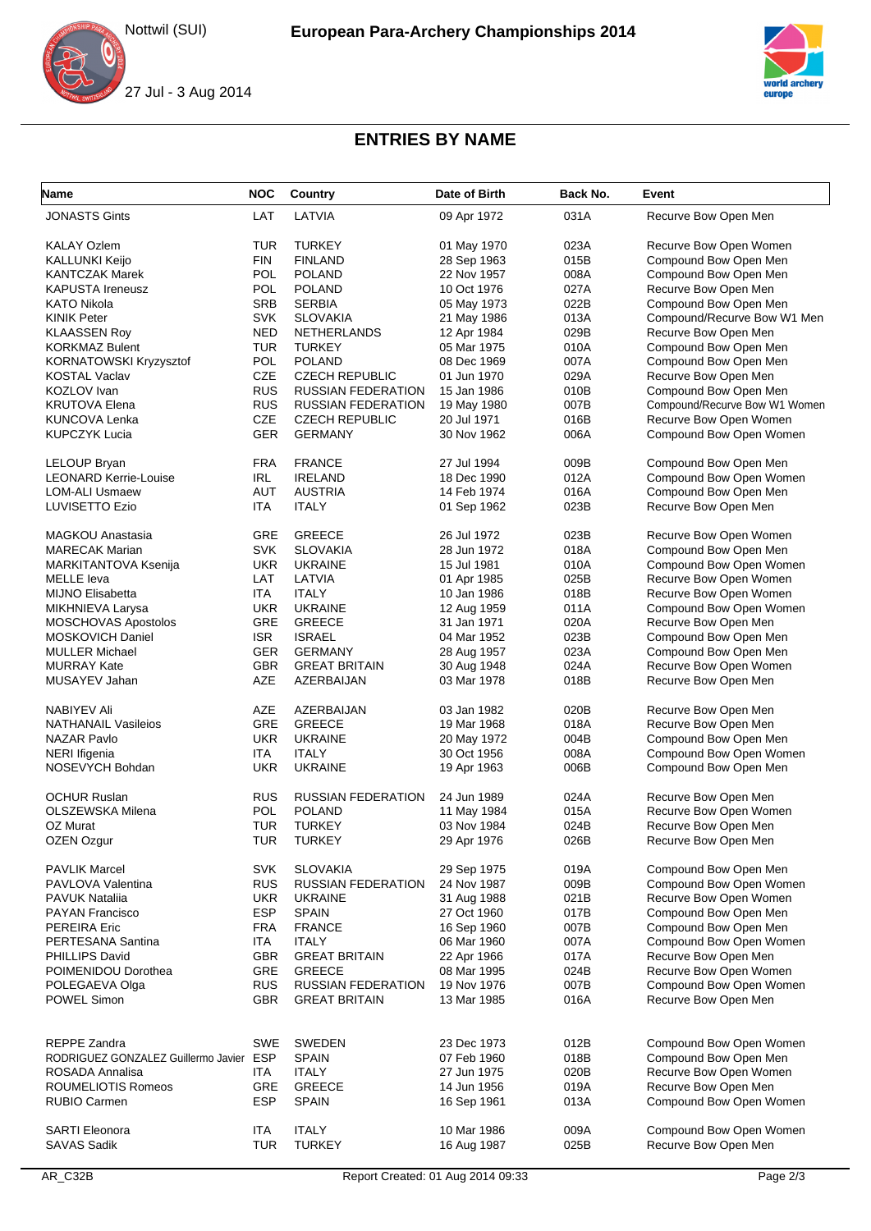



## **ENTRIES BY NAME**

| <b>Name</b>                             | <b>NOC</b> | <b>Country</b>            | Date of Birth | Back No. | Event                         |
|-----------------------------------------|------------|---------------------------|---------------|----------|-------------------------------|
| <b>JONASTS Gints</b>                    | LAT        | LATVIA                    | 09 Apr 1972   | 031A     | Recurve Bow Open Men          |
| <b>KALAY Ozlem</b>                      | TUR        | <b>TURKEY</b>             | 01 May 1970   | 023A     | Recurve Bow Open Women        |
| KALLUNKI Keijo                          | <b>FIN</b> | <b>FINLAND</b>            | 28 Sep 1963   | 015B     | Compound Bow Open Men         |
| <b>KANTCZAK Marek</b>                   | <b>POL</b> | <b>POLAND</b>             | 22 Nov 1957   | 008A     | Compound Bow Open Men         |
| <b>KAPUSTA Ireneusz</b>                 | <b>POL</b> | <b>POLAND</b>             | 10 Oct 1976   | 027A     | Recurve Bow Open Men          |
| KATO Nikola                             | <b>SRB</b> | <b>SERBIA</b>             | 05 May 1973   | 022B     | Compound Bow Open Men         |
| <b>KINIK Peter</b>                      | <b>SVK</b> | <b>SLOVAKIA</b>           | 21 May 1986   | 013A     | Compound/Recurve Bow W1 Men   |
| <b>KLAASSEN Roy</b>                     | <b>NED</b> | <b>NETHERLANDS</b>        | 12 Apr 1984   | 029B     | Recurve Bow Open Men          |
| KORKMAZ Bulent                          | <b>TUR</b> | <b>TURKEY</b>             | 05 Mar 1975   | 010A     | Compound Bow Open Men         |
| KORNATOWSKI Kryzysztof                  | <b>POL</b> | <b>POLAND</b>             | 08 Dec 1969   | 007A     | Compound Bow Open Men         |
| <b>KOSTAL Vaclav</b>                    | CZE        | <b>CZECH REPUBLIC</b>     | 01 Jun 1970   | 029A     | Recurve Bow Open Men          |
| KOZLOV Ivan                             | <b>RUS</b> | <b>RUSSIAN FEDERATION</b> | 15 Jan 1986   | 010B     | Compound Bow Open Men         |
| <b>KRUTOVA Elena</b>                    | <b>RUS</b> | <b>RUSSIAN FEDERATION</b> | 19 May 1980   | 007B     | Compound/Recurve Bow W1 Women |
| KUNCOVA Lenka                           | CZE        | <b>CZECH REPUBLIC</b>     | 20 Jul 1971   | 016B     | Recurve Bow Open Women        |
| <b>KUPCZYK Lucia</b>                    | <b>GER</b> | <b>GERMANY</b>            | 30 Nov 1962   | 006A     | Compound Bow Open Women       |
| <b>LELOUP Bryan</b>                     | <b>FRA</b> | <b>FRANCE</b>             | 27 Jul 1994   | 009B     | Compound Bow Open Men         |
| <b>LEONARD Kerrie-Louise</b>            | <b>IRL</b> | <b>IRELAND</b>            | 18 Dec 1990   | 012A     | Compound Bow Open Women       |
| <b>LOM-ALI Usmaew</b>                   | <b>AUT</b> | <b>AUSTRIA</b>            | 14 Feb 1974   | 016A     | Compound Bow Open Men         |
| LUVISETTO Ezio                          | ITA        | <b>ITALY</b>              | 01 Sep 1962   | 023B     | Recurve Bow Open Men          |
| MAGKOU Anastasia                        | GRE        | <b>GREECE</b>             | 26 Jul 1972   | 023B     | Recurve Bow Open Women        |
| <b>MARECAK Marian</b>                   | <b>SVK</b> | <b>SLOVAKIA</b>           | 28 Jun 1972   | 018A     | Compound Bow Open Men         |
| MARKITANTOVA Ksenija                    | <b>UKR</b> | <b>UKRAINE</b>            | 15 Jul 1981   | 010A     | Compound Bow Open Women       |
| MELLE leva                              | LAT        | LATVIA                    | 01 Apr 1985   | 025B     | Recurve Bow Open Women        |
| MIJNO Elisabetta                        | ITA        | <b>ITALY</b>              | 10 Jan 1986   | 018B     | Recurve Bow Open Women        |
| MIKHNIEVA Larysa                        | <b>UKR</b> | <b>UKRAINE</b>            | 12 Aug 1959   | 011A     | Compound Bow Open Women       |
| <b>MOSCHOVAS Apostolos</b>              | <b>GRE</b> | <b>GREECE</b>             | 31 Jan 1971   | 020A     | Recurve Bow Open Men          |
| MOSKOVICH Daniel                        | <b>ISR</b> | <b>ISRAEL</b>             | 04 Mar 1952   | 023B     | Compound Bow Open Men         |
| <b>MULLER Michael</b>                   | <b>GER</b> | <b>GERMANY</b>            | 28 Aug 1957   | 023A     | Compound Bow Open Men         |
| <b>MURRAY Kate</b>                      | <b>GBR</b> | <b>GREAT BRITAIN</b>      | 30 Aug 1948   | 024A     | Recurve Bow Open Women        |
| MUSAYEV Jahan                           | <b>AZE</b> | AZERBAIJAN                | 03 Mar 1978   | 018B     | Recurve Bow Open Men          |
| NABIYEV Ali                             | <b>AZE</b> | AZERBAIJAN                | 03 Jan 1982   | 020B     | Recurve Bow Open Men          |
| <b>NATHANAIL Vasileios</b>              | GRE        | <b>GREECE</b>             | 19 Mar 1968   | 018A     | Recurve Bow Open Men          |
| NAZAR Pavlo                             | <b>UKR</b> | <b>UKRAINE</b>            | 20 May 1972   | 004B     | Compound Bow Open Men         |
| NERI Ifigenia                           | ITA.       | <b>ITALY</b>              | 30 Oct 1956   | 008A     | Compound Bow Open Women       |
| NOSEVYCH Bohdan                         | <b>UKR</b> | <b>UKRAINE</b>            | 19 Apr 1963   | 006B     | Compound Bow Open Men         |
| <b>OCHUR Ruslan</b>                     | <b>RUS</b> | <b>RUSSIAN FEDERATION</b> | 24 Jun 1989   | 024A     | Recurve Bow Open Men          |
| OLSZEWSKA Milena                        | <b>POL</b> | <b>POLAND</b>             | 11 May 1984   | 015A     | Recurve Bow Open Women        |
| OZ Murat                                | <b>TUR</b> | <b>TURKEY</b>             | 03 Nov 1984   | 024B     | Recurve Bow Open Men          |
| OZEN Ozgur                              | TUR        | <b>TURKEY</b>             | 29 Apr 1976   | 026B     | Recurve Bow Open Men          |
| <b>PAVLIK Marcel</b>                    | <b>SVK</b> | <b>SLOVAKIA</b>           | 29 Sep 1975   | 019A     | Compound Bow Open Men         |
| PAVLOVA Valentina                       | <b>RUS</b> | <b>RUSSIAN FEDERATION</b> | 24 Nov 1987   | 009B     | Compound Bow Open Women       |
| PAVUK Nataliia                          | <b>UKR</b> | <b>UKRAINE</b>            | 31 Aug 1988   | 021B     | Recurve Bow Open Women        |
| PAYAN Francisco                         | <b>ESP</b> | <b>SPAIN</b>              | 27 Oct 1960   | 017B     | Compound Bow Open Men         |
| PEREIRA Eric                            | <b>FRA</b> | <b>FRANCE</b>             | 16 Sep 1960   | 007B     | Compound Bow Open Men         |
| PERTESANA Santina                       | ITA        | <b>ITALY</b>              | 06 Mar 1960   | 007A     | Compound Bow Open Women       |
| PHILLIPS David                          | <b>GBR</b> | <b>GREAT BRITAIN</b>      | 22 Apr 1966   | 017A     | Recurve Bow Open Men          |
| POIMENIDOU Dorothea                     | GRE        | <b>GREECE</b>             | 08 Mar 1995   | 024B     | Recurve Bow Open Women        |
| POLEGAEVA Olga                          | <b>RUS</b> | <b>RUSSIAN FEDERATION</b> | 19 Nov 1976   | 007B     | Compound Bow Open Women       |
| POWEL Simon                             | <b>GBR</b> | <b>GREAT BRITAIN</b>      | 13 Mar 1985   | 016A     | Recurve Bow Open Men          |
|                                         |            |                           |               |          |                               |
| REPPE Zandra                            | <b>SWE</b> | <b>SWEDEN</b>             | 23 Dec 1973   | 012B     | Compound Bow Open Women       |
| RODRIGUEZ GONZALEZ Guillermo Javier ESP |            | <b>SPAIN</b>              | 07 Feb 1960   | 018B     | Compound Bow Open Men         |
| ROSADA Annalisa                         | ITA.       | <b>ITALY</b>              | 27 Jun 1975   | 020B     | Recurve Bow Open Women        |
| ROUMELIOTIS Romeos                      | <b>GRE</b> | <b>GREECE</b>             | 14 Jun 1956   | 019A     | Recurve Bow Open Men          |
| RUBIO Carmen                            | <b>ESP</b> | <b>SPAIN</b>              | 16 Sep 1961   | 013A     | Compound Bow Open Women       |
| <b>SARTI Eleonora</b>                   | <b>ITA</b> | <b>ITALY</b>              | 10 Mar 1986   | 009A     | Compound Bow Open Women       |
| SAVAS Sadik                             | <b>TUR</b> | <b>TURKEY</b>             | 16 Aug 1987   | 025B     | Recurve Bow Open Men          |
|                                         |            |                           |               |          |                               |